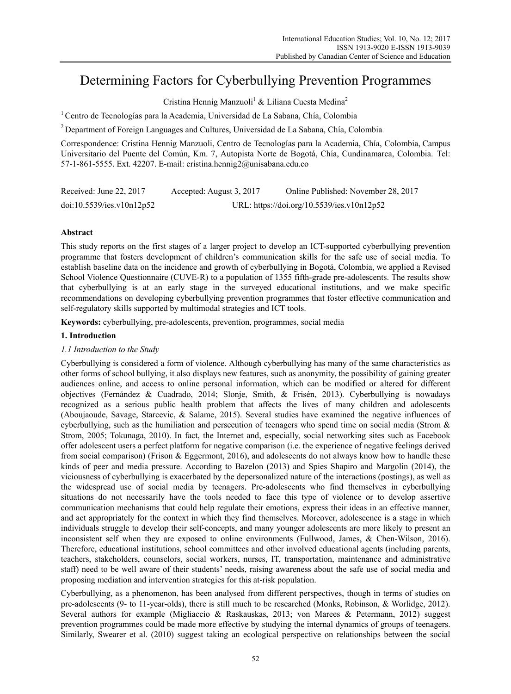# Determining Factors for Cyberbullying Prevention Programmes

Cristina Hennig Manzuoli<sup>1</sup> & Liliana Cuesta Medina<sup>2</sup>

<sup>1</sup> Centro de Tecnologías para la Academia, Universidad de La Sabana, Chía, Colombia

2 Department of Foreign Languages and Cultures, Universidad de La Sabana, Chía, Colombia

Correspondence: Cristina Hennig Manzuoli, Centro de Tecnologías para la Academia, Chía, Colombia, Campus Universitario del Puente del Común, Km. 7, Autopista Norte de Bogotá, Chía, Cundinamarca, Colombia. Tel: 57-1-861-5555. Ext. 42207. E-mail: cristina.hennig2@unisabana.edu.co

| Received: June 22, 2017   | Accepted: August 3, 2017 | Online Published: November 28, 2017        |
|---------------------------|--------------------------|--------------------------------------------|
| doi:10.5539/ies.v10n12p52 |                          | URL: https://doi.org/10.5539/ies.v10n12p52 |

# **Abstract**

This study reports on the first stages of a larger project to develop an ICT-supported cyberbullying prevention programme that fosters development of children's communication skills for the safe use of social media. To establish baseline data on the incidence and growth of cyberbullying in Bogotá, Colombia, we applied a Revised School Violence Questionnaire (CUVE-R) to a population of 1355 fifth-grade pre-adolescents. The results show that cyberbullying is at an early stage in the surveyed educational institutions, and we make specific recommendations on developing cyberbullying prevention programmes that foster effective communication and self-regulatory skills supported by multimodal strategies and ICT tools.

**Keywords:** cyberbullying, pre-adolescents, prevention, programmes, social media

# **1. Introduction**

# *1.1 Introduction to the Study*

Cyberbullying is considered a form of violence. Although cyberbullying has many of the same characteristics as other forms of school bullying, it also displays new features, such as anonymity, the possibility of gaining greater audiences online, and access to online personal information, which can be modified or altered for different objectives (Fernández & Cuadrado, 2014; Slonje, Smith, & Frisén, 2013). Cyberbullying is nowadays recognized as a serious public health problem that affects the lives of many children and adolescents (Aboujaoude, Savage, Starcevic, & Salame, 2015). Several studies have examined the negative influences of cyberbullying, such as the humiliation and persecution of teenagers who spend time on social media (Strom & Strom, 2005; Tokunaga, 2010). In fact, the Internet and, especially, social networking sites such as Facebook offer adolescent users a perfect platform for negative comparison (i.e. the experience of negative feelings derived from social comparison) (Frison & Eggermont, 2016), and adolescents do not always know how to handle these kinds of peer and media pressure. According to Bazelon (2013) and Spies Shapiro and Margolin (2014), the viciousness of cyberbullying is exacerbated by the depersonalized nature of the interactions (postings), as well as the widespread use of social media by teenagers. Pre-adolescents who find themselves in cyberbullying situations do not necessarily have the tools needed to face this type of violence or to develop assertive communication mechanisms that could help regulate their emotions, express their ideas in an effective manner, and act appropriately for the context in which they find themselves. Moreover, adolescence is a stage in which individuals struggle to develop their self-concepts, and many younger adolescents are more likely to present an inconsistent self when they are exposed to online environments (Fullwood, James, & Chen-Wilson, 2016). Therefore, educational institutions, school committees and other involved educational agents (including parents, teachers, stakeholders, counselors, social workers, nurses, IT, transportation, maintenance and administrative staff) need to be well aware of their students' needs, raising awareness about the safe use of social media and proposing mediation and intervention strategies for this at-risk population.

Cyberbullying, as a phenomenon, has been analysed from different perspectives, though in terms of studies on pre-adolescents (9- to 11-year-olds), there is still much to be researched (Monks, Robinson, & Worlidge, 2012). Several authors for example (Migliaccio & Raskauskas, 2013; von Marees & Petermann, 2012) suggest prevention programmes could be made more effective by studying the internal dynamics of groups of teenagers. Similarly, Swearer et al. (2010) suggest taking an ecological perspective on relationships between the social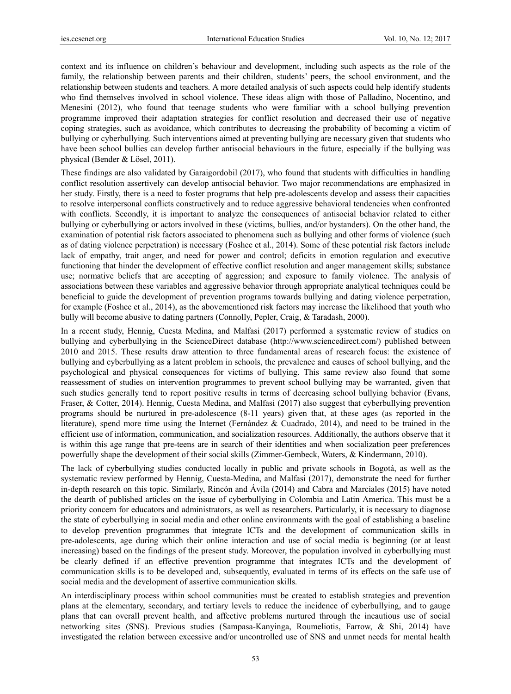context and its influence on children's behaviour and development, including such aspects as the role of the family, the relationship between parents and their children, students' peers, the school environment, and the relationship between students and teachers. A more detailed analysis of such aspects could help identify students who find themselves involved in school violence. These ideas align with those of Palladino, Nocentino, and Menesini (2012), who found that teenage students who were familiar with a school bullying prevention programme improved their adaptation strategies for conflict resolution and decreased their use of negative coping strategies, such as avoidance, which contributes to decreasing the probability of becoming a victim of bullying or cyberbullying. Such interventions aimed at preventing bullying are necessary given that students who have been school bullies can develop further antisocial behaviours in the future, especially if the bullying was physical (Bender & Lösel, 2011).

These findings are also validated by Garaigordobil (2017), who found that students with difficulties in handling conflict resolution assertively can develop antisocial behavior. Two major recommendations are emphasized in her study. Firstly, there is a need to foster programs that help pre-adolescents develop and assess their capacities to resolve interpersonal conflicts constructively and to reduce aggressive behavioral tendencies when confronted with conflicts. Secondly, it is important to analyze the consequences of antisocial behavior related to either bullying or cyberbullying or actors involved in these (victims, bullies, and/or bystanders). On the other hand, the examination of potential risk factors associated to phenomena such as bullying and other forms of violence (such as of dating violence perpetration) is necessary (Foshee et al., 2014). Some of these potential risk factors include lack of empathy, trait anger, and need for power and control; deficits in emotion regulation and executive functioning that hinder the development of effective conflict resolution and anger management skills; substance use; normative beliefs that are accepting of aggression; and exposure to family violence. The analysis of associations between these variables and aggressive behavior through appropriate analytical techniques could be beneficial to guide the development of prevention programs towards bullying and dating violence perpetration, for example (Foshee et al., 2014), as the abovementioned risk factors may increase the likelihood that youth who bully will become abusive to dating partners (Connolly, Pepler, Craig, & Taradash, 2000).

In a recent study, Hennig, Cuesta Medina, and Malfasi (2017) performed a systematic review of studies on bullying and cyberbullying in the ScienceDirect database (http://www.sciencedirect.com/) published between 2010 and 2015. These results draw attention to three fundamental areas of research focus: the existence of bullying and cyberbullying as a latent problem in schools, the prevalence and causes of school bullying, and the psychological and physical consequences for victims of bullying. This same review also found that some reassessment of studies on intervention programmes to prevent school bullying may be warranted, given that such studies generally tend to report positive results in terms of decreasing school bullying behavior (Evans, Fraser, & Cotter, 2014). Hennig, Cuesta Medina, and Malfasi (2017) also suggest that cyberbullying prevention programs should be nurtured in pre-adolescence (8-11 years) given that, at these ages (as reported in the literature), spend more time using the Internet (Fernández & Cuadrado, 2014), and need to be trained in the efficient use of information, communication, and socialization resources. Additionally, the authors observe that it is within this age range that pre-teens are in search of their identities and when socialization peer preferences powerfully shape the development of their social skills (Zimmer-Gembeck, Waters, & Kindermann, 2010).

The lack of cyberbullying studies conducted locally in public and private schools in Bogotá, as well as the systematic review performed by Hennig, Cuesta-Medina, and Malfasi (2017), demonstrate the need for further in-depth research on this topic. Similarly, Rincón and Ávila (2014) and Cabra and Marciales (2015) have noted the dearth of published articles on the issue of cyberbullying in Colombia and Latin America. This must be a priority concern for educators and administrators, as well as researchers. Particularly, it is necessary to diagnose the state of cyberbullying in social media and other online environments with the goal of establishing a baseline to develop prevention programmes that integrate ICTs and the development of communication skills in pre-adolescents, age during which their online interaction and use of social media is beginning (or at least increasing) based on the findings of the present study. Moreover, the population involved in cyberbullying must be clearly defined if an effective prevention programme that integrates ICTs and the development of communication skills is to be developed and, subsequently, evaluated in terms of its effects on the safe use of social media and the development of assertive communication skills.

An interdisciplinary process within school communities must be created to establish strategies and prevention plans at the elementary, secondary, and tertiary levels to reduce the incidence of cyberbullying, and to gauge plans that can overall prevent health, and affective problems nurtured through the incautious use of social networking sites (SNS). Previous studies (Sampasa-Kanyinga, Roumeliotis, Farrow, & Shi, 2014) have investigated the relation between excessive and/or uncontrolled use of SNS and unmet needs for mental health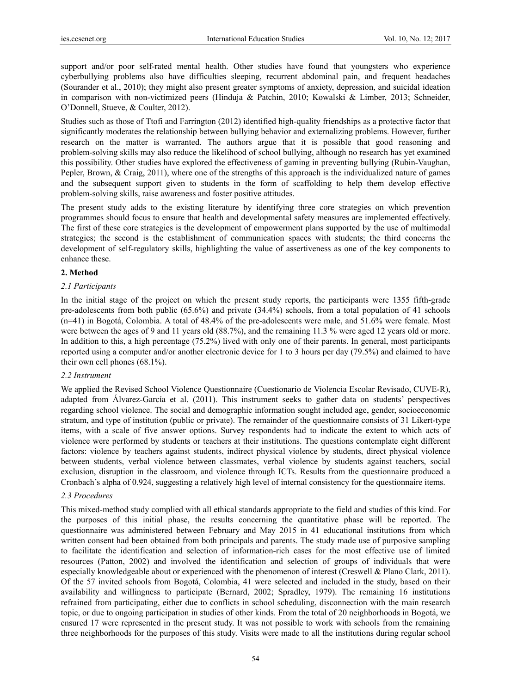support and/or poor self-rated mental health. Other studies have found that youngsters who experience cyberbullying problems also have difficulties sleeping, recurrent abdominal pain, and frequent headaches (Sourander et al., 2010); they might also present greater symptoms of anxiety, depression, and suicidal ideation in comparison with non-victimized peers (Hinduja & Patchin, 2010; Kowalski & Limber, 2013; Schneider, O'Donnell, Stueve, & Coulter, 2012).

Studies such as those of Ttofi and Farrington (2012) identified high-quality friendships as a protective factor that significantly moderates the relationship between bullying behavior and externalizing problems. However, further research on the matter is warranted. The authors argue that it is possible that good reasoning and problem-solving skills may also reduce the likelihood of school bullying, although no research has yet examined this possibility. Other studies have explored the effectiveness of gaming in preventing bullying (Rubin-Vaughan, Pepler, Brown, & Craig, 2011), where one of the strengths of this approach is the individualized nature of games and the subsequent support given to students in the form of scaffolding to help them develop effective problem-solving skills, raise awareness and foster positive attitudes.

The present study adds to the existing literature by identifying three core strategies on which prevention programmes should focus to ensure that health and developmental safety measures are implemented effectively. The first of these core strategies is the development of empowerment plans supported by the use of multimodal strategies; the second is the establishment of communication spaces with students; the third concerns the development of self-regulatory skills, highlighting the value of assertiveness as one of the key components to enhance these.

#### **2. Method**

#### *2.1 Participants*

In the initial stage of the project on which the present study reports, the participants were 1355 fifth-grade pre-adolescents from both public (65.6%) and private (34.4%) schools, from a total population of 41 schools (n=41) in Bogotá, Colombia. A total of 48.4% of the pre-adolescents were male, and 51.6% were female. Most were between the ages of 9 and 11 years old (88.7%), and the remaining 11.3 % were aged 12 years old or more. In addition to this, a high percentage (75.2%) lived with only one of their parents. In general, most participants reported using a computer and/or another electronic device for 1 to 3 hours per day (79.5%) and claimed to have their own cell phones (68.1%).

## *2.2 Instrument*

We applied the Revised School Violence Questionnaire (Cuestionario de Violencia Escolar Revisado, CUVE-R), adapted from Álvarez-García et al. (2011). This instrument seeks to gather data on students' perspectives regarding school violence. The social and demographic information sought included age, gender, socioeconomic stratum, and type of institution (public or private). The remainder of the questionnaire consists of 31 Likert-type items, with a scale of five answer options. Survey respondents had to indicate the extent to which acts of violence were performed by students or teachers at their institutions. The questions contemplate eight different factors: violence by teachers against students, indirect physical violence by students, direct physical violence between students, verbal violence between classmates, verbal violence by students against teachers, social exclusion, disruption in the classroom, and violence through ICTs. Results from the questionnaire produced a Cronbach's alpha of 0.924, suggesting a relatively high level of internal consistency for the questionnaire items.

#### *2.3 Procedures*

This mixed-method study complied with all ethical standards appropriate to the field and studies of this kind. For the purposes of this initial phase, the results concerning the quantitative phase will be reported. The questionnaire was administered between February and May 2015 in 41 educational institutions from which written consent had been obtained from both principals and parents. The study made use of purposive sampling to facilitate the identification and selection of information-rich cases for the most effective use of limited resources (Patton, 2002) and involved the identification and selection of groups of individuals that were especially knowledgeable about or experienced with the phenomenon of interest (Creswell & Plano Clark, 2011). Of the 57 invited schools from Bogotá, Colombia, 41 were selected and included in the study, based on their availability and willingness to participate (Bernard, 2002; Spradley, 1979). The remaining 16 institutions refrained from participating, either due to conflicts in school scheduling, disconnection with the main research topic, or due to ongoing participation in studies of other kinds. From the total of 20 neighborhoods in Bogotá, we ensured 17 were represented in the present study. It was not possible to work with schools from the remaining three neighborhoods for the purposes of this study. Visits were made to all the institutions during regular school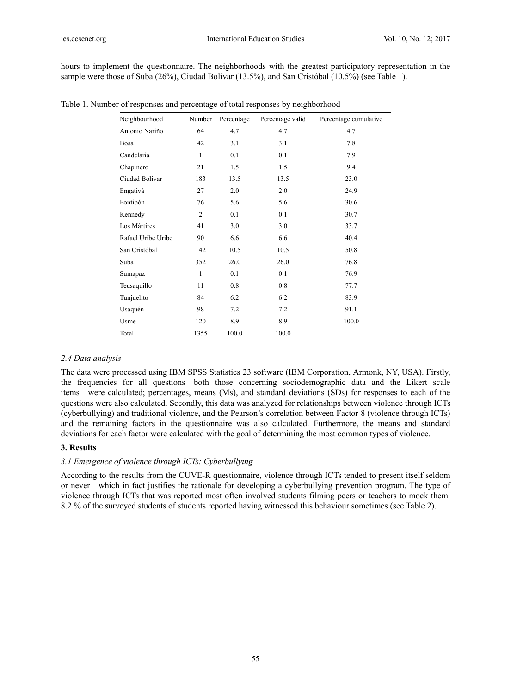hours to implement the questionnaire. The neighborhoods with the greatest participatory representation in the sample were those of Suba (26%), Ciudad Bolívar (13.5%), and San Cristóbal (10.5%) (see Table 1).

| Neighbourhood      | Number         | Percentage | Percentage valid | Percentage cumulative |
|--------------------|----------------|------------|------------------|-----------------------|
| Antonio Nariño     | 64             | 4.7        | 4.7              | 4.7                   |
| Bosa               | 42             | 3.1        | 3.1              | 7.8                   |
| Candelaria         | 1              | 0.1        | 0.1              | 7.9                   |
| Chapinero          | 21             | 1.5        | 1.5              | 9.4                   |
| Ciudad Bolívar     | 183            | 13.5       | 13.5             | 23.0                  |
| Engativá           | 27             | 2.0        | 2.0              | 24.9                  |
| Fontibón           | 76             | 5.6        | 5.6              | 30.6                  |
| Kennedy            | $\overline{2}$ | 0.1        | 0.1              | 30.7                  |
| Los Mártires       | 41             | 3.0        | 3.0              | 33.7                  |
| Rafael Uribe Uribe | 90             | 6.6        | 6.6              | 40.4                  |
| San Cristóbal      | 142            | 10.5       | 10.5             | 50.8                  |
| Suba               | 352            | 26.0       | 26.0             | 76.8                  |
| Sumapaz            | 1              | 0.1        | 0.1              | 76.9                  |
| Teusaquillo        | 11             | 0.8        | 0.8              | 77.7                  |
| Tunjuelito         | 84             | 6.2        | 6.2              | 83.9                  |
| Usaquén            | 98             | 7.2        | 7.2              | 91.1                  |
| Usme               | 120            | 8.9        | 8.9              | 100.0                 |
| Total              | 1355           | 100.0      | 100.0            |                       |

Table 1. Number of responses and percentage of total responses by neighborhood

# *2.4 Data analysis*

The data were processed using IBM SPSS Statistics 23 software (IBM Corporation, Armonk, NY, USA). Firstly, the frequencies for all questions—both those concerning sociodemographic data and the Likert scale items—were calculated; percentages, means (Ms), and standard deviations (SDs) for responses to each of the questions were also calculated. Secondly, this data was analyzed for relationships between violence through ICTs (cyberbullying) and traditional violence, and the Pearson's correlation between Factor 8 (violence through ICTs) and the remaining factors in the questionnaire was also calculated. Furthermore, the means and standard deviations for each factor were calculated with the goal of determining the most common types of violence.

## **3. Results**

## *3.1 Emergence of violence through ICTs: Cyberbullying*

According to the results from the CUVE-R questionnaire, violence through ICTs tended to present itself seldom or never—which in fact justifies the rationale for developing a cyberbullying prevention program. The type of violence through ICTs that was reported most often involved students filming peers or teachers to mock them. 8.2 % of the surveyed students of students reported having witnessed this behaviour sometimes (see Table 2).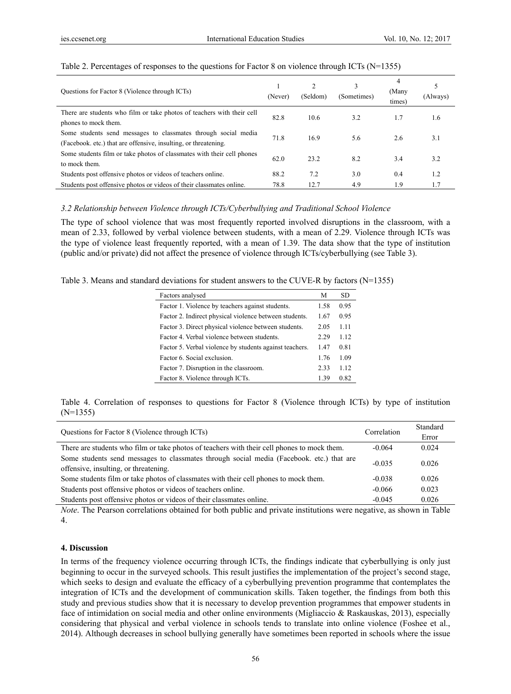| Questions for Factor 8 (Violence through ICTs)                         | (Never) | $\overline{c}$<br>(Seldom) | (Sometimes) | 4<br>(Many<br>times) | (Always) |
|------------------------------------------------------------------------|---------|----------------------------|-------------|----------------------|----------|
| There are students who film or take photos of teachers with their cell | 82.8    | 10.6                       | 3.2         | 1.7                  | 1.6      |
| phones to mock them.                                                   |         |                            |             |                      |          |
| Some students send messages to classmates through social media         | 71.8    | 16.9                       | 5.6         | 2.6                  | 3.1      |
| (Facebook. etc.) that are offensive, insulting, or threatening.        |         |                            |             |                      |          |
| Some students film or take photos of classmates with their cell phones |         | 23.2                       | 8.2         | 3.4                  | 3.2      |
| to mock them.                                                          | 62.0    |                            |             |                      |          |
| Students post offensive photos or videos of teachers online.           | 88.2    | 7.2                        | 3.0         | 0.4                  | 1.2      |
| Students post offensive photos or videos of their classmates online.   | 78.8    | 12.7                       | 4.9         | 1.9                  | 1.7      |

#### Table 2. Percentages of responses to the questions for Factor 8 on violence through ICTs (N=1355)

## *3.2 Relationship between Violence through ICTs/Cyberbullying and Traditional School Violence*

The type of school violence that was most frequently reported involved disruptions in the classroom, with a mean of 2.33, followed by verbal violence between students, with a mean of 2.29. Violence through ICTs was the type of violence least frequently reported, with a mean of 1.39. The data show that the type of institution (public and/or private) did not affect the presence of violence through ICTs/cyberbullying (see Table 3).

Table 3. Means and standard deviations for student answers to the CUVE-R by factors (N=1355)

 $\overline{a}$ 

| Factors analysed                                        | М    | SD   |
|---------------------------------------------------------|------|------|
| Factor 1. Violence by teachers against students.        | 1.58 | 0.95 |
| Factor 2. Indirect physical violence between students.  | 1.67 | 0.95 |
| Factor 3. Direct physical violence between students.    | 2.05 | 1.11 |
| Factor 4. Verbal violence between students.             | 2.29 | 1.12 |
| Factor 5. Verbal violence by students against teachers. | 1.47 | 0.81 |
| Factor 6. Social exclusion.                             | 1.76 | 1.09 |
| Factor 7. Disruption in the classroom.                  | 2.33 | 1.12 |
| Factor 8. Violence through ICTs.                        | 1.39 | 0.82 |
|                                                         |      |      |

Table 4. Correlation of responses to questions for Factor 8 (Violence through ICTs) by type of institution (N=1355)

| Questions for Factor 8 (Violence through ICTs)                                              |          | Standard |
|---------------------------------------------------------------------------------------------|----------|----------|
|                                                                                             |          | Error    |
| There are students who film or take photos of teachers with their cell phones to mock them. | $-0.064$ | 0.024    |
| Some students send messages to classmates through social media (Facebook. etc.) that are    | $-0.035$ | 0.026    |
| offensive, insulting, or threatening.                                                       |          |          |
| Some students film or take photos of classmates with their cell phones to mock them.        | $-0.038$ | 0.026    |
| Students post offensive photos or videos of teachers online.                                | $-0.066$ | 0.023    |
| Students post offensive photos or videos of their classmates online.                        | $-0.045$ | 0.026    |

*Note*. The Pearson correlations obtained for both public and private institutions were negative, as shown in Table 4.

## **4. Discussion**

In terms of the frequency violence occurring through ICTs, the findings indicate that cyberbullying is only just beginning to occur in the surveyed schools. This result justifies the implementation of the project's second stage, which seeks to design and evaluate the efficacy of a cyberbullying prevention programme that contemplates the integration of ICTs and the development of communication skills. Taken together, the findings from both this study and previous studies show that it is necessary to develop prevention programmes that empower students in face of intimidation on social media and other online environments (Migliaccio & Raskauskas, 2013), especially considering that physical and verbal violence in schools tends to translate into online violence (Foshee et al., 2014). Although decreases in school bullying generally have sometimes been reported in schools where the issue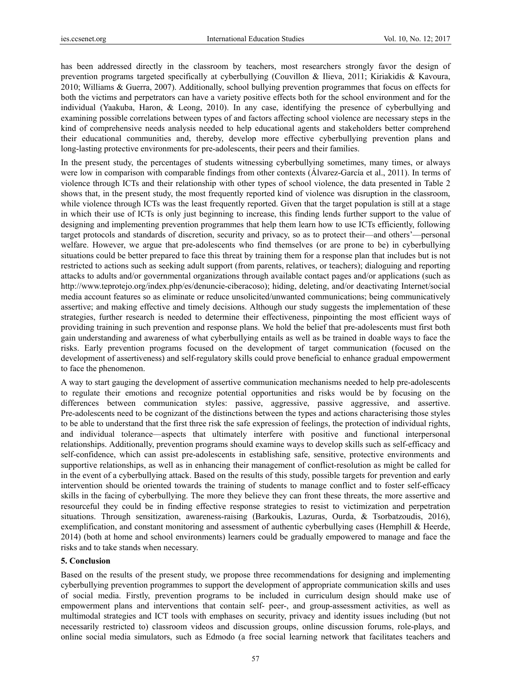has been addressed directly in the classroom by teachers, most researchers strongly favor the design of prevention programs targeted specifically at cyberbullying (Couvillon & Ilieva, 2011; Kiriakidis & Kavoura, 2010; Williams & Guerra, 2007). Additionally, school bullying prevention programmes that focus on effects for both the victims and perpetrators can have a variety positive effects both for the school environment and for the individual (Yaakuba, Haron, & Leong, 2010). In any case, identifying the presence of cyberbullying and examining possible correlations between types of and factors affecting school violence are necessary steps in the kind of comprehensive needs analysis needed to help educational agents and stakeholders better comprehend their educational communities and, thereby, develop more effective cyberbullying prevention plans and long-lasting protective environments for pre-adolescents, their peers and their families.

In the present study, the percentages of students witnessing cyberbullying sometimes, many times, or always were low in comparison with comparable findings from other contexts (Álvarez-García et al., 2011). In terms of violence through ICTs and their relationship with other types of school violence, the data presented in Table 2 shows that, in the present study, the most frequently reported kind of violence was disruption in the classroom, while violence through ICTs was the least frequently reported. Given that the target population is still at a stage in which their use of ICTs is only just beginning to increase, this finding lends further support to the value of designing and implementing prevention programmes that help them learn how to use ICTs efficiently, following target protocols and standards of discretion, security and privacy, so as to protect their—and others'—personal welfare. However, we argue that pre-adolescents who find themselves (or are prone to be) in cyberbullying situations could be better prepared to face this threat by training them for a response plan that includes but is not restricted to actions such as seeking adult support (from parents, relatives, or teachers); dialoguing and reporting attacks to adults and/or governmental organizations through available contact pages and/or applications (such as http://www.teprotejo.org/index.php/es/denuncie-ciberacoso); hiding, deleting, and/or deactivating Internet/social media account features so as eliminate or reduce unsolicited/unwanted communications; being communicatively assertive; and making effective and timely decisions. Although our study suggests the implementation of these strategies, further research is needed to determine their effectiveness, pinpointing the most efficient ways of providing training in such prevention and response plans. We hold the belief that pre-adolescents must first both gain understanding and awareness of what cyberbullying entails as well as be trained in doable ways to face the risks. Early prevention programs focused on the development of target communication (focused on the development of assertiveness) and self-regulatory skills could prove beneficial to enhance gradual empowerment to face the phenomenon.

A way to start gauging the development of assertive communication mechanisms needed to help pre-adolescents to regulate their emotions and recognize potential opportunities and risks would be by focusing on the differences between communication styles: passive, aggressive, passive aggressive, and assertive. Pre-adolescents need to be cognizant of the distinctions between the types and actions characterising those styles to be able to understand that the first three risk the safe expression of feelings, the protection of individual rights, and individual tolerance—aspects that ultimately interfere with positive and functional interpersonal relationships. Additionally, prevention programs should examine ways to develop skills such as self-efficacy and self-confidence, which can assist pre-adolescents in establishing safe, sensitive, protective environments and supportive relationships, as well as in enhancing their management of conflict-resolution as might be called for in the event of a cyberbullying attack. Based on the results of this study, possible targets for prevention and early intervention should be oriented towards the training of students to manage conflict and to foster self-efficacy skills in the facing of cyberbullying. The more they believe they can front these threats, the more assertive and resourceful they could be in finding effective response strategies to resist to victimization and perpetration situations. Through sensitization, awareness-raising (Barkoukis, Lazuras, Ourda, & Tsorbatzoudis, 2016), exemplification, and constant monitoring and assessment of authentic cyberbullying cases (Hemphill & Heerde, 2014) (both at home and school environments) learners could be gradually empowered to manage and face the risks and to take stands when necessary.

## **5. Conclusion**

Based on the results of the present study, we propose three recommendations for designing and implementing cyberbullying prevention programmes to support the development of appropriate communication skills and uses of social media. Firstly, prevention programs to be included in curriculum design should make use of empowerment plans and interventions that contain self- peer-, and group-assessment activities, as well as multimodal strategies and ICT tools with emphases on security, privacy and identity issues including (but not necessarily restricted to) classroom videos and discussion groups, online discussion forums, role-plays, and online social media simulators, such as Edmodo (a free social learning network that facilitates teachers and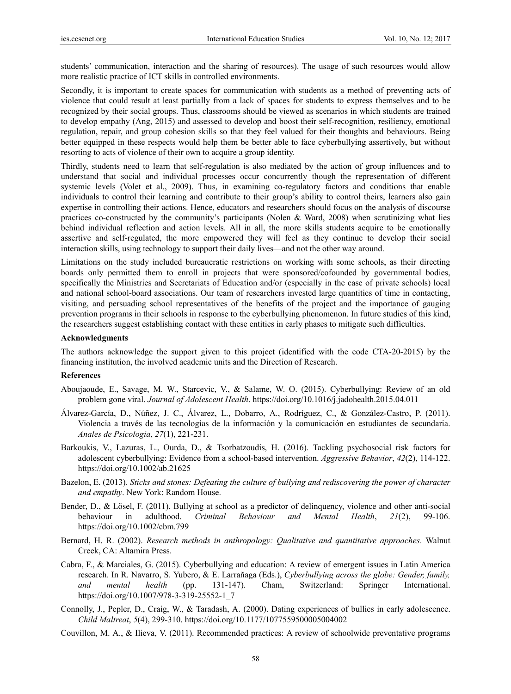students' communication, interaction and the sharing of resources). The usage of such resources would allow more realistic practice of ICT skills in controlled environments.

Secondly, it is important to create spaces for communication with students as a method of preventing acts of violence that could result at least partially from a lack of spaces for students to express themselves and to be recognized by their social groups. Thus, classrooms should be viewed as scenarios in which students are trained to develop empathy (Ang, 2015) and assessed to develop and boost their self-recognition, resiliency, emotional regulation, repair, and group cohesion skills so that they feel valued for their thoughts and behaviours. Being better equipped in these respects would help them be better able to face cyberbullying assertively, but without resorting to acts of violence of their own to acquire a group identity.

Thirdly, students need to learn that self-regulation is also mediated by the action of group influences and to understand that social and individual processes occur concurrently though the representation of different systemic levels (Volet et al., 2009). Thus, in examining co-regulatory factors and conditions that enable individuals to control their learning and contribute to their group's ability to control theirs, learners also gain expertise in controlling their actions. Hence, educators and researchers should focus on the analysis of discourse practices co-constructed by the community's participants (Nolen & Ward, 2008) when scrutinizing what lies behind individual reflection and action levels. All in all, the more skills students acquire to be emotionally assertive and self-regulated, the more empowered they will feel as they continue to develop their social interaction skills, using technology to support their daily lives—and not the other way around.

Limitations on the study included bureaucratic restrictions on working with some schools, as their directing boards only permitted them to enroll in projects that were sponsored/cofounded by governmental bodies, specifically the Ministries and Secretariats of Education and/or (especially in the case of private schools) local and national school-board associations. Our team of researchers invested large quantities of time in contacting, visiting, and persuading school representatives of the benefits of the project and the importance of gauging prevention programs in their schools in response to the cyberbullying phenomenon. In future studies of this kind, the researchers suggest establishing contact with these entities in early phases to mitigate such difficulties.

### **Acknowledgments**

The authors acknowledge the support given to this project (identified with the code CTA-20-2015) by the financing institution, the involved academic units and the Direction of Research.

## **References**

- Aboujaoude, E., Savage, M. W., Starcevic, V., & Salame, W. O. (2015). Cyberbullying: Review of an old problem gone viral. *Journal of Adolescent Health*. https://doi.org/10.1016/j.jadohealth.2015.04.011
- Álvarez-García, D., Núñez, J. C., Álvarez, L., Dobarro, A., Rodríguez, C., & González-Castro, P. (2011). Violencia a través de las tecnologías de la información y la comunicación en estudiantes de secundaria. *Anales de Psicología*, *27*(1), 221-231.
- Barkoukis, V., Lazuras, L., Ourda, D., & Tsorbatzoudis, H. (2016). Tackling psychosocial risk factors for adolescent cyberbullying: Evidence from a school-based intervention. *Aggressive Behavior*, *42*(2), 114-122. https://doi.org/10.1002/ab.21625
- Bazelon, E. (2013). *Sticks and stones: Defeating the culture of bullying and rediscovering the power of character and empathy*. New York: Random House.
- Bender, D., & Lösel, F. (2011). Bullying at school as a predictor of delinquency, violence and other anti-social behaviour in adulthood. *Criminal Behaviour and Mental Health*, *21*(2), 99-106. https://doi.org/10.1002/cbm.799
- Bernard, H. R. (2002). *Research methods in anthropology: Qualitative and quantitative approaches*. Walnut Creek, CA: Altamira Press.
- Cabra, F., & Marciales, G. (2015). Cyberbullying and education: A review of emergent issues in Latin America research. In R. Navarro, S. Yubero, & E. Larrañaga (Eds.), *Cyberbullying across the globe: Gender, family, and mental health* (pp. 131-147). Cham, Switzerland: Springer International. https://doi.org/10.1007/978-3-319-25552-1\_7
- Connolly, J., Pepler, D., Craig, W., & Taradash, A. (2000). Dating experiences of bullies in early adolescence. *Child Maltreat*, *5*(4), 299-310. https://doi.org/10.1177/1077559500005004002
- Couvillon, M. A., & Ilieva, V. (2011). Recommended practices: A review of schoolwide preventative programs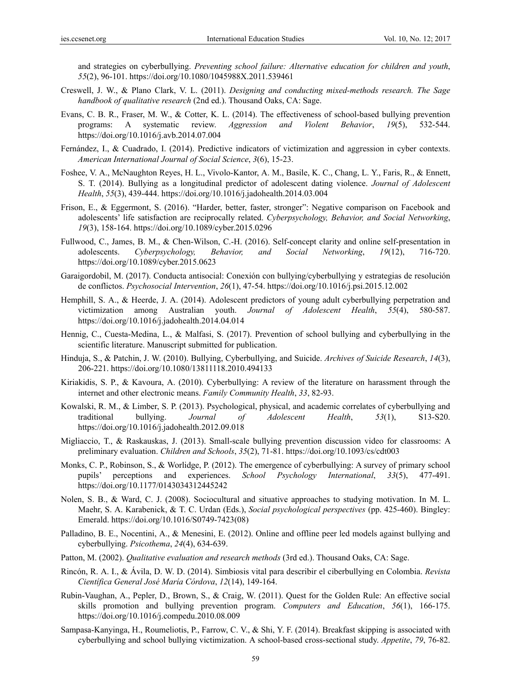and strategies on cyberbullying. *Preventing school failure: Alternative education for children and youth*, *55*(2), 96-101. https://doi.org/10.1080/1045988X.2011.539461

- Creswell, J. W., & Plano Clark, V. L. (2011). *Designing and conducting mixed-methods research. The Sage handbook of qualitative research* (2nd ed.). Thousand Oaks, CA: Sage.
- Evans, C. B. R., Fraser, M. W., & Cotter, K. L. (2014). The effectiveness of school-based bullying prevention programs: A systematic review. *Aggression and Violent Behavior*, *19*(5), 532-544. https://doi.org/10.1016/j.avb.2014.07.004
- Fernández, I., & Cuadrado, I. (2014). Predictive indicators of victimization and aggression in cyber contexts. *American International Journal of Social Science*, *3*(6), 15-23.
- Foshee, V. A., McNaughton Reyes, H. L., Vivolo-Kantor, A. M., Basile, K. C., Chang, L. Y., Faris, R., & Ennett, S. T. (2014). Bullying as a longitudinal predictor of adolescent dating violence. *Journal of Adolescent Health*, *55*(3), 439-444. https://doi.org/10.1016/j.jadohealth.2014.03.004
- Frison, E., & Eggermont, S. (2016). "Harder, better, faster, stronger": Negative comparison on Facebook and adolescents' life satisfaction are reciprocally related. *Cyberpsychology, Behavior, and Social Networking*, *19*(3), 158-164. https://doi.org/10.1089/cyber.2015.0296
- Fullwood, C., James, B. M., & Chen-Wilson, C.-H. (2016). Self-concept clarity and online self-presentation in adolescents. *Cyberpsychology, Behavior, and Social Networking*, *19*(12), 716-720. https://doi.org/10.1089/cyber.2015.0623
- Garaigordobil, M. (2017). Conducta antisocial: Conexión con bullying/cyberbullying y estrategias de resolución de conflictos. *Psychosocial Intervention*, *26*(1), 47-54. https://doi.org/10.1016/j.psi.2015.12.002
- Hemphill, S. A., & Heerde, J. A. (2014). Adolescent predictors of young adult cyberbullying perpetration and victimization among Australian youth. *Journal of Adolescent Health*, *55*(4), 580-587. https://doi.org/10.1016/j.jadohealth.2014.04.014
- Hennig, C., Cuesta-Medina, L., & Malfasi, S. (2017). Prevention of school bullying and cyberbullying in the scientific literature. Manuscript submitted for publication.
- Hinduja, S., & Patchin, J. W. (2010). Bullying, Cyberbullying, and Suicide. *Archives of Suicide Research*, *14*(3), 206-221. https://doi.org/10.1080/13811118.2010.494133
- Kiriakidis, S. P., & Kavoura, A. (2010). Cyberbullying: A review of the literature on harassment through the internet and other electronic means. *Family Community Health*, *33*, 82-93.
- Kowalski, R. M., & Limber, S. P. (2013). Psychological, physical, and academic correlates of cyberbullying and traditional bullying. *Journal of Adolescent Health*, *53*(1), S13-S20. https://doi.org/10.1016/j.jadohealth.2012.09.018
- Migliaccio, T., & Raskauskas, J. (2013). Small-scale bullying prevention discussion video for classrooms: A preliminary evaluation. *Children and Schools*, *35*(2), 71-81. https://doi.org/10.1093/cs/cdt003
- Monks, C. P., Robinson, S., & Worlidge, P. (2012). The emergence of cyberbullying: A survey of primary school pupils' perceptions and experiences. *School Psychology International*, *33*(5), 477-491. https://doi.org/10.1177/0143034312445242
- Nolen, S. B., & Ward, C. J. (2008). Sociocultural and situative approaches to studying motivation. In M. L. Maehr, S. A. Karabenick, & T. C. Urdan (Eds.), *Social psychological perspectives* (pp. 425-460). Bingley: Emerald. https://doi.org/10.1016/S0749-7423(08)
- Palladino, B. E., Nocentini, A., & Menesini, E. (2012). Online and offline peer led models against bullying and cyberbullying. *Psicothema*, *24*(4), 634-639.
- Patton, M. (2002). *Qualitative evaluation and research methods* (3rd ed.). Thousand Oaks, CA: Sage.
- Rincón, R. A. I., & Ávila, D. W. D. (2014). Simbiosis vital para describir el ciberbullying en Colombia. *Revista Científica General José María Córdova*, *12*(14), 149-164.
- Rubin-Vaughan, A., Pepler, D., Brown, S., & Craig, W. (2011). Quest for the Golden Rule: An effective social skills promotion and bullying prevention program. *Computers and Education*, *56*(1), 166-175. https://doi.org/10.1016/j.compedu.2010.08.009
- Sampasa-Kanyinga, H., Roumeliotis, P., Farrow, C. V., & Shi, Y. F. (2014). Breakfast skipping is associated with cyberbullying and school bullying victimization. A school-based cross-sectional study. *Appetite*, *79*, 76-82.